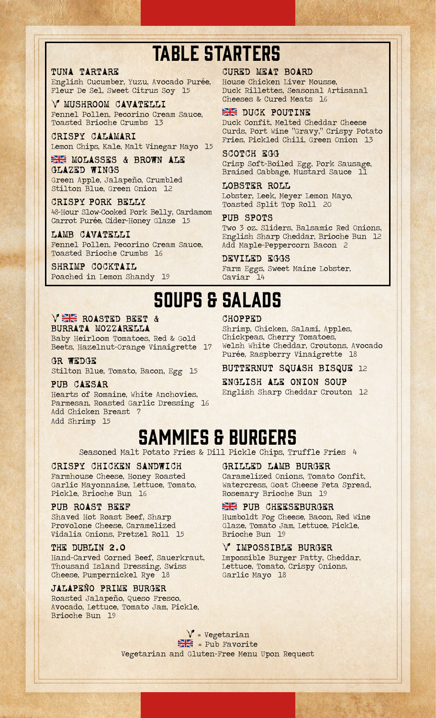# TABLE STARTERS

# TUNA TARTARE

English Cucumber, Yuzu, Avocado Purée, Fleur De Sel, Sweet Citrus Soy 15

V MUSHROOM CAVATELLI Fennel Pollen, Pecorino Cream Sauce, Toasted Brioche Crumbs 13

CRISPY CALAMARI Lemon Chips, Kale, Malt Vinegar Mayo 15

**EXEMPLASSES & BROWN ALE** GLAZED WINGS Green Apple, Jalapeño, Crumbled Stilton Blue, Green Onion 12

CRISPY PORK BELLY 48-Hour Slow-Cooked Pork Belly, Cardamom Carrot Purée, Cider-Honey Glaze 15

LAMB CAVATELLI Fennel Pollen, Pecorino Cream Sauce, Toasted Brioche Crumbs 16

SHRIMP COCKTAIL Poached in Lemon Shandy 19

## CURED MEAT BOARD

House Chicken Liver Mousse, Duck Rillettes, Seasonal Artisanal Cheeses & Cured Meats 16

## **EXE DUCK POUTINE**

Duck Confit, Melted Cheddar Cheese Curds, Port Wine "Gravy," Crispy Potato Fries, Pickled Chili, Green Onion 13

## SCOTCH EGG

Crisp Soft-Boiled Egg, Pork Sausage, Braised Cabbage, Mustard Sauce 11

#### LOBSTER ROLL

Lobster, Leek, Meyer Lemon Mayo, Toasted Split Top Roll 20

#### PUB SPOTS

Two 3 oz. Sliders, Balsamic Red Onions, English Sharp Cheddar, Brioche Bun 12 Add Maple-Peppercorn Bacon 2

#### DEVILED EGGS

Farm Eggs, Sweet Maine Lobster, Caviar

# SOUPS & SALADS

### CHOPPED

VER ROASTED BEET & BURRATA MOZZARELLA

Baby Heirloom Tomatoes, Red & Gold Beets, Hazelnut-Orange Vinaigrette 17

GR WEDGE Stilton Blue, Tomato, Bacon, Egg 15

PUB CAESAR Hearts of Romaine, White Anchovies, Parmesan, Roasted Garlic Dressing 16 Add Chicken Breast 7 Add Shrimp 15

Shrimp, Chicken, Salami, Apples, Chickpeas, Cherry Tomatoes, Welsh White Cheddar, Croutons, Avocado Purée, Raspberry Vinaigrette 18

BUTTERNUT SQUASH BISQUE 12

ENGLISH ALE ONION SOUP English Sharp Cheddar Crouton 12

# SAMMIES & BURGERS

Seasoned Malt Potato Fries & Dill Pickle Chips, Truffle Fries 4

## CRISPY CHICKEN SANDWICH

Farmhouse Cheese, Honey Roasted Garlic Mayonnaise, Lettuce, Tomato, Pickle, Brioche Bun 16

# PUB ROAST BEEF

Shaved Hot Roast Beef, Sharp Provolone Cheese, Caramelized Vidalia Onions, Pretzel Roll 15

#### THE DUBLIN 2.0

Hand-Carved Corned Beef, Sauerkraut, Thousand Island Dressing, Swiss Cheese, Pumpernickel Rye 18

#### JALAPEÑO PRIME BURGER

Roasted Jalapeño, Queso Fresco, Avocado, Lettuce, Tomato Jam, Pickle, Brioche Bun 19

GRILLED LAMB BURGER

Caramelized Onions, Tomato Confit, Watercress, Goat Cheese Feta Spread, Rosemary Brioche Bun 19

**EX PUB CHEESEBURGER** 

Humboldt Fog Cheese, Bacon, Red Wine Glaze, Tomato Jam, Lettuce, Pickle, Brioche Bun 19

### IMPOSSIBLE BURGER

Impossible Burger Patty, Cheddar, Lettuce, Tomato, Crispy Onions, Garlic Mayo 18

 $V$  = Vegetarian  $=$  Pub Favorite Vegetarian and Gluten-Free Menu Upon Request